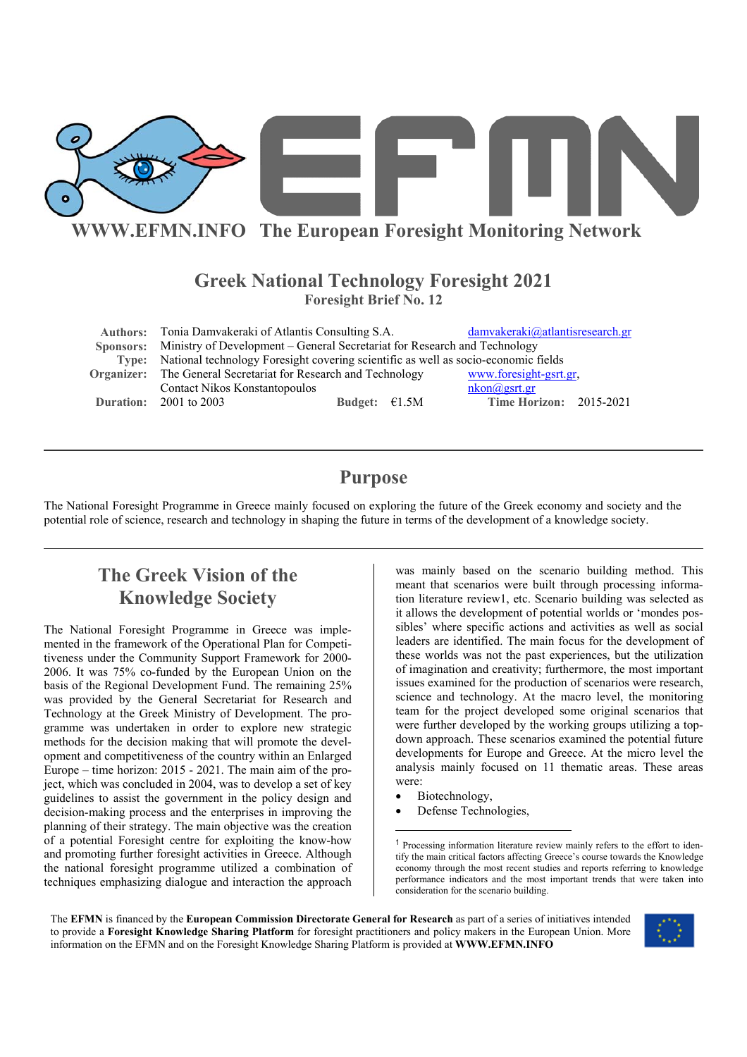

#### **Greek National Technology Foresight 2021 Foresight Brief No. 12**

| Authors: Tonia Damvakeraki of Atlantis Consulting S.A.                                   |                         |  | damvakeraki@atlantis research.gr |  |
|------------------------------------------------------------------------------------------|-------------------------|--|----------------------------------|--|
| Sponsors: Ministry of Development – General Secretariat for Research and Technology      |                         |  |                                  |  |
| Type: National technology Foresight covering scientific as well as socio-economic fields |                         |  |                                  |  |
| <b>Organizer:</b> The General Secretariat for Research and Technology                    |                         |  | www.foresight-gsrt.gr,           |  |
| Contact Nikos Konstantopoulos                                                            |                         |  | nkon@gsrt.gr                     |  |
| <b>Duration:</b> 2001 to 2003                                                            | Budget: $\epsilon$ 1.5M |  | <b>Time Horizon: 2015-2021</b>   |  |

### **Purpose**

The National Foresight Programme in Greece mainly focused on exploring the future of the Greek economy and society and the potential role of science, research and technology in shaping the future in terms of the development of a knowledge society.

## **The Greek Vision of the Knowledge Society**

The National Foresight Programme in Greece was implemented in the framework of the Operational Plan for Competitiveness under the Community Support Framework for 2000- 2006. It was 75% co-funded by the European Union on the basis of the Regional Development Fund. The remaining 25% was provided by the General Secretariat for Research and Technology at the Greek Ministry of Development. The programme was undertaken in order to explore new strategic methods for the decision making that will promote the development and competitiveness of the country within an Enlarged Europe – time horizon: 2015 - 2021. The main aim of the project, which was concluded in 2004, was to develop a set of key guidelines to assist the government in the policy design and decision-making process and the enterprises in improving the planning of their strategy. The main objective was the creation of a potential Foresight centre for exploiting the know-how and promoting further foresight activities in Greece. Although the national foresight programme utilized a combination of techniques emphasizing dialogue and interaction the approach was mainly based on the scenario building method. This meant that scenarios were built through processing information literature review1, etc. Scenario building was selected as it allows the development of potential worlds or 'mondes possibles' where specific actions and activities as well as social leaders are identified. The main focus for the development of these worlds was not the past experiences, but the utilization of imagination and creativity; furthermore, the most important issues examined for the production of scenarios were research, science and technology. At the macro level, the monitoring team for the project developed some original scenarios that were further developed by the working groups utilizing a topdown approach. These scenarios examined the potential future developments for Europe and Greece. At the micro level the analysis mainly focused on 11 thematic areas. These areas were:

Biotechnology,

l

Defense Technologies,

The **EFMN** is financed by the **European Commission Directorate General for Research** as part of a series of initiatives intended to provide a **Foresight Knowledge Sharing Platform** for foresight practitioners and policy makers in the European Union. More information on the EFMN and on the Foresight Knowledge Sharing Platform is provided at **WWW.EFMN.INFO**



<sup>1</sup> Processing information literature review mainly refers to the effort to identify the main critical factors affecting Greece's course towards the Knowledge economy through the most recent studies and reports referring to knowledge performance indicators and the most important trends that were taken into consideration for the scenario building.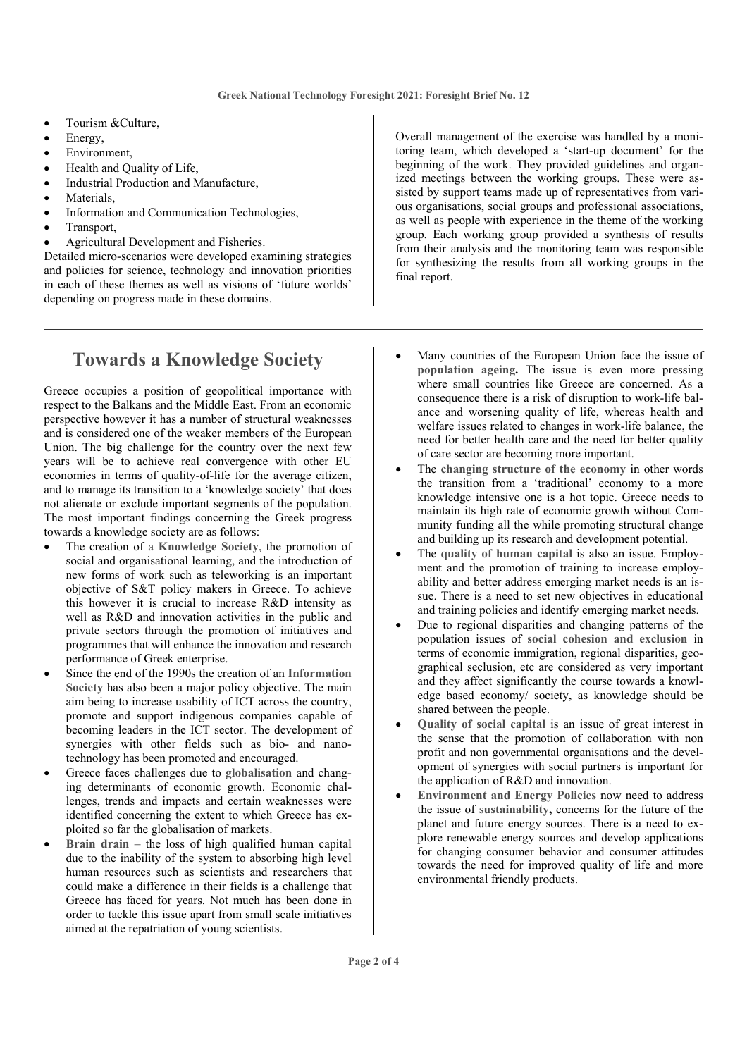- Tourism &Culture,
- Energy,
- Environment,
- Health and Quality of Life,
- Industrial Production and Manufacture,
- Materials.
- Information and Communication Technologies,
- Transport,
- Agricultural Development and Fisheries.

Detailed micro-scenarios were developed examining strategies and policies for science, technology and innovation priorities in each of these themes as well as visions of 'future worlds' depending on progress made in these domains.

Overall management of the exercise was handled by a monitoring team, which developed a 'start-up document' for the beginning of the work. They provided guidelines and organized meetings between the working groups. These were assisted by support teams made up of representatives from various organisations, social groups and professional associations, as well as people with experience in the theme of the working group. Each working group provided a synthesis of results from their analysis and the monitoring team was responsible for synthesizing the results from all working groups in the final report.

### **Towards a Knowledge Society**

Greece occupies a position of geopolitical importance with respect to the Balkans and the Middle East. From an economic perspective however it has a number of structural weaknesses and is considered one of the weaker members of the European Union. The big challenge for the country over the next few years will be to achieve real convergence with other EU economies in terms of quality-of-life for the average citizen, and to manage its transition to a 'knowledge society' that does not alienate or exclude important segments of the population. The most important findings concerning the Greek progress towards a knowledge society are as follows:

- The creation of a **Knowledge Society**, the promotion of social and organisational learning, and the introduction of new forms of work such as teleworking is an important objective of S&T policy makers in Greece. To achieve this however it is crucial to increase R&D intensity as well as R&D and innovation activities in the public and private sectors through the promotion of initiatives and programmes that will enhance the innovation and research performance of Greek enterprise.
- Since the end of the 1990s the creation of an **Information Society** has also been a major policy objective. The main aim being to increase usability of ICT across the country, promote and support indigenous companies capable of becoming leaders in the ICT sector. The development of synergies with other fields such as bio- and nanotechnology has been promoted and encouraged.
- Greece faces challenges due to **globalisation** and changing determinants of economic growth. Economic challenges, trends and impacts and certain weaknesses were identified concerning the extent to which Greece has exploited so far the globalisation of markets.
- Brain drain the loss of high qualified human capital due to the inability of the system to absorbing high level human resources such as scientists and researchers that could make a difference in their fields is a challenge that Greece has faced for years. Not much has been done in order to tackle this issue apart from small scale initiatives aimed at the repatriation of young scientists.
- Many countries of the European Union face the issue of **population ageing.** The issue is even more pressing where small countries like Greece are concerned. As a consequence there is a risk of disruption to work-life balance and worsening quality of life, whereas health and welfare issues related to changes in work-life balance, the need for better health care and the need for better quality of care sector are becoming more important.
- The **changing structure of the economy** in other words the transition from a 'traditional' economy to a more knowledge intensive one is a hot topic. Greece needs to maintain its high rate of economic growth without Community funding all the while promoting structural change and building up its research and development potential.
- The **quality of human capital** is also an issue. Employment and the promotion of training to increase employability and better address emerging market needs is an issue. There is a need to set new objectives in educational and training policies and identify emerging market needs.
- Due to regional disparities and changing patterns of the population issues of **social cohesion and exclusion** in terms of economic immigration, regional disparities, geographical seclusion, etc are considered as very important and they affect significantly the course towards a knowledge based economy/ society, as knowledge should be shared between the people.
- **Quality of social capital** is an issue of great interest in the sense that the promotion of collaboration with non profit and non governmental organisations and the development of synergies with social partners is important for the application of R&D and innovation.
- **Environment and Energy Policies** now need to address the issue of s**ustainability,** concerns for the future of the planet and future energy sources. There is a need to explore renewable energy sources and develop applications for changing consumer behavior and consumer attitudes towards the need for improved quality of life and more environmental friendly products.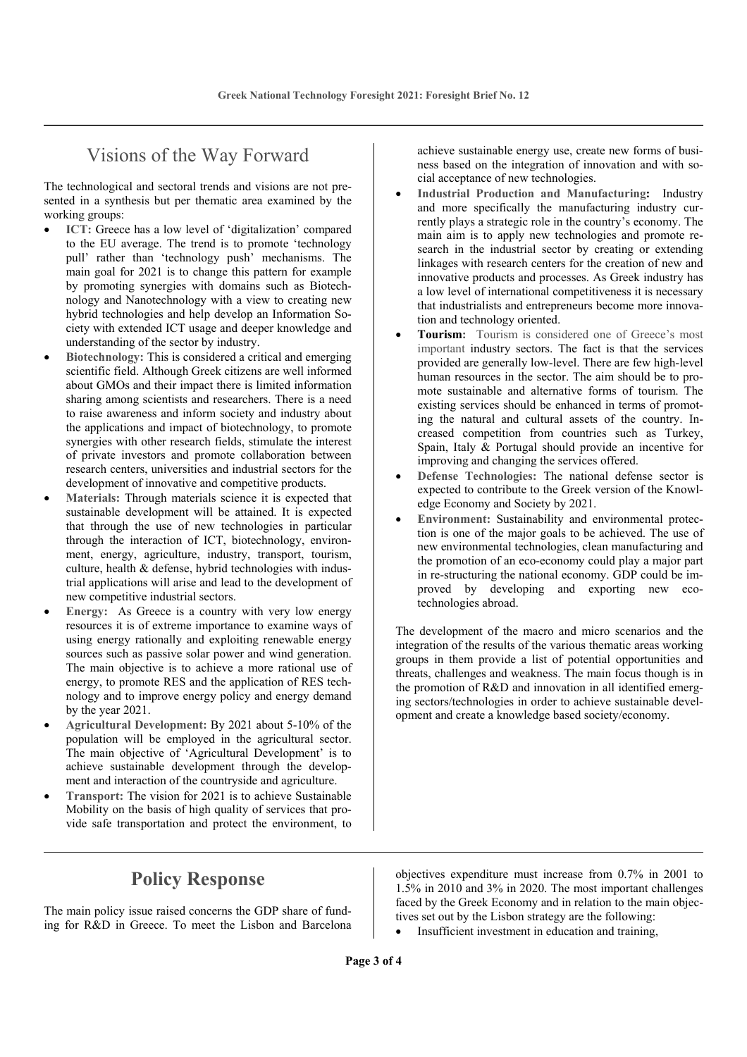# Visions of the Way Forward

The technological and sectoral trends and visions are not presented in a synthesis but per thematic area examined by the working groups:

- ICT: Greece has a low level of 'digitalization' compared to the EU average. The trend is to promote 'technology pull' rather than 'technology push' mechanisms. The main goal for 2021 is to change this pattern for example by promoting synergies with domains such as Biotechnology and Nanotechnology with a view to creating new hybrid technologies and help develop an Information Society with extended ICT usage and deeper knowledge and understanding of the sector by industry.
- **Biotechnology:** This is considered a critical and emerging scientific field. Although Greek citizens are well informed about GMOs and their impact there is limited information sharing among scientists and researchers. There is a need to raise awareness and inform society and industry about the applications and impact of biotechnology, to promote synergies with other research fields, stimulate the interest of private investors and promote collaboration between research centers, universities and industrial sectors for the development of innovative and competitive products.
- Materials: Through materials science it is expected that sustainable development will be attained. It is expected that through the use of new technologies in particular through the interaction of ICT, biotechnology, environment, energy, agriculture, industry, transport, tourism, culture, health & defense, hybrid technologies with industrial applications will arise and lead to the development of new competitive industrial sectors.
- **Energy:** As Greece is a country with very low energy resources it is of extreme importance to examine ways of using energy rationally and exploiting renewable energy sources such as passive solar power and wind generation. The main objective is to achieve a more rational use of energy, to promote RES and the application of RES technology and to improve energy policy and energy demand by the year 2021.
- **Agricultural Development:** By 2021 about 5-10% of the population will be employed in the agricultural sector. The main objective of 'Agricultural Development' is to achieve sustainable development through the development and interaction of the countryside and agriculture.
- **Transport:** The vision for 2021 is to achieve Sustainable Mobility on the basis of high quality of services that provide safe transportation and protect the environment, to

achieve sustainable energy use, create new forms of business based on the integration of innovation and with social acceptance of new technologies.

- **Industrial Production and Manufacturing:** Industry and more specifically the manufacturing industry currently plays a strategic role in the country's economy. The main aim is to apply new technologies and promote research in the industrial sector by creating or extending linkages with research centers for the creation of new and innovative products and processes. As Greek industry has a low level of international competitiveness it is necessary that industrialists and entrepreneurs become more innovation and technology oriented.
- **Tourism:** Tourism is considered one of Greece's most important industry sectors. The fact is that the services provided are generally low-level. There are few high-level human resources in the sector. The aim should be to promote sustainable and alternative forms of tourism. The existing services should be enhanced in terms of promoting the natural and cultural assets of the country. Increased competition from countries such as Turkey, Spain, Italy & Portugal should provide an incentive for improving and changing the services offered.
- **Defense Technologies:** The national defense sector is expected to contribute to the Greek version of the Knowledge Economy and Society by 2021.
- **Environment:** Sustainability and environmental protection is one of the major goals to be achieved. The use of new environmental technologies, clean manufacturing and the promotion of an eco-economy could play a major part in re-structuring the national economy. GDP could be improved by developing and exporting new ecotechnologies abroad.

The development of the macro and micro scenarios and the integration of the results of the various thematic areas working groups in them provide a list of potential opportunities and threats, challenges and weakness. The main focus though is in the promotion of R&D and innovation in all identified emerging sectors/technologies in order to achieve sustainable development and create a knowledge based society/economy.

#### **Policy Response**

The main policy issue raised concerns the GDP share of funding for R&D in Greece. To meet the Lisbon and Barcelona objectives expenditure must increase from 0.7% in 2001 to 1.5% in 2010 and 3% in 2020. The most important challenges faced by the Greek Economy and in relation to the main objectives set out by the Lisbon strategy are the following:

Insufficient investment in education and training,